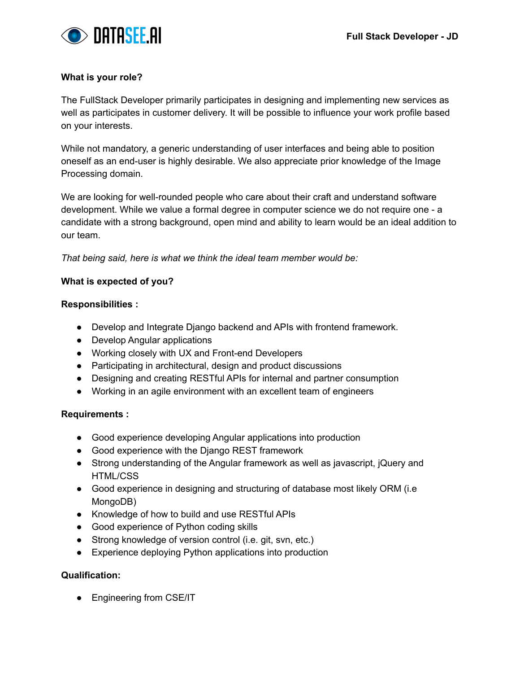

#### **What is your role?**

The FullStack Developer primarily participates in designing and implementing new services as well as participates in customer delivery. It will be possible to influence your work profile based on your interests.

While not mandatory, a generic understanding of user interfaces and being able to position oneself as an end-user is highly desirable. We also appreciate prior knowledge of the Image Processing domain.

We are looking for well-rounded people who care about their craft and understand software development. While we value a formal degree in computer science we do not require one - a candidate with a strong background, open mind and ability to learn would be an ideal addition to our team.

*That being said, here is what we think the ideal team member would be:*

#### **What is expected of you?**

#### **Responsibilities :**

- Develop and Integrate Django backend and APIs with frontend framework.
- Develop Angular applications
- Working closely with UX and Front-end Developers
- Participating in architectural, design and product discussions
- Designing and creating RESTful APIs for internal and partner consumption
- Working in an agile environment with an excellent team of engineers

## **Requirements :**

- Good experience developing Angular applications into production
- Good experience with the Django REST framework
- Strong understanding of the Angular framework as well as javascript, jQuery and HTML/CSS
- Good experience in designing and structuring of database most likely ORM (i.e MongoDB)
- Knowledge of how to build and use RESTful APIs
- Good experience of Python coding skills
- Strong knowledge of version control (i.e. git, svn, etc.)
- Experience deploying Python applications into production

## **Qualification:**

• Engineering from CSE/IT